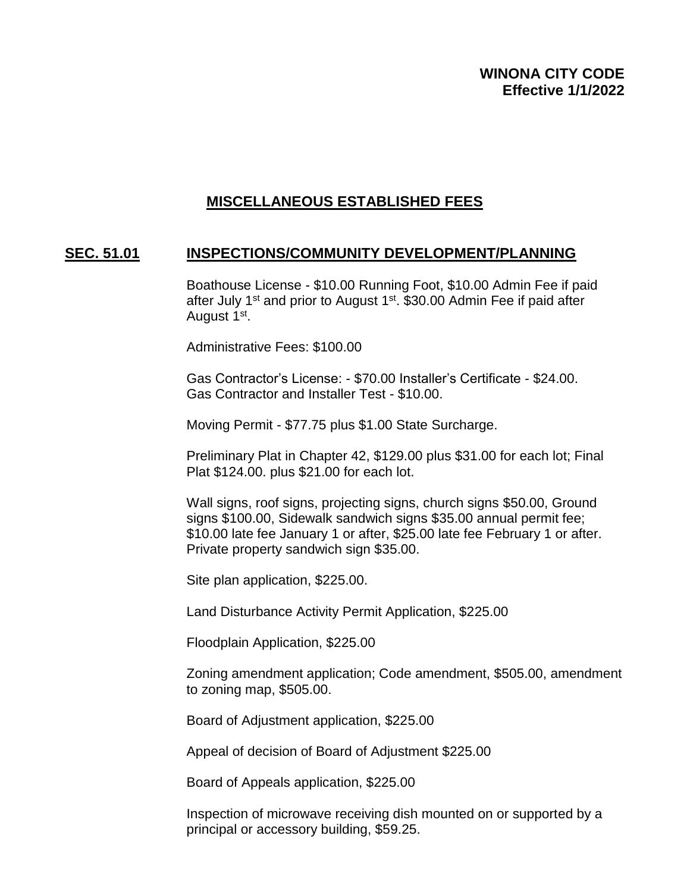## **MISCELLANEOUS ESTABLISHED FEES**

## **SEC. 51.01 INSPECTIONS/COMMUNITY DEVELOPMENT/PLANNING**

Boathouse License - \$10.00 Running Foot, \$10.00 Admin Fee if paid after July 1<sup>st</sup> and prior to August 1<sup>st</sup>. \$30.00 Admin Fee if paid after August 1<sup>st</sup>.

Administrative Fees: \$100.00

Gas Contractor's License: - \$70.00 Installer's Certificate - \$24.00. Gas Contractor and Installer Test - \$10.00.

Moving Permit - \$77.75 plus \$1.00 State Surcharge.

Preliminary Plat in Chapter 42, \$129.00 plus \$31.00 for each lot; Final Plat \$124.00. plus \$21.00 for each lot.

Wall signs, roof signs, projecting signs, church signs \$50.00, Ground signs \$100.00, Sidewalk sandwich signs \$35.00 annual permit fee; \$10.00 late fee January 1 or after, \$25.00 late fee February 1 or after. Private property sandwich sign \$35.00.

Site plan application, \$225.00.

Land Disturbance Activity Permit Application, \$225.00

Floodplain Application, \$225.00

Zoning amendment application; Code amendment, \$505.00, amendment to zoning map, \$505.00.

Board of Adjustment application, \$225.00

Appeal of decision of Board of Adjustment \$225.00

Board of Appeals application, \$225.00

Inspection of microwave receiving dish mounted on or supported by a principal or accessory building, \$59.25.